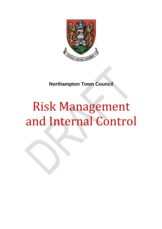

**Northampton Town Council**

# Risk Management and Internal Control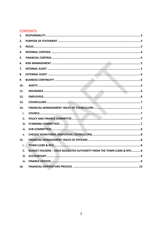# **CONTENTS:**

| 1.   |                                                                                 |
|------|---------------------------------------------------------------------------------|
| 2.   |                                                                                 |
| 3.   |                                                                                 |
| 4.   |                                                                                 |
| 5.   |                                                                                 |
| 6.   |                                                                                 |
| 7.   |                                                                                 |
| 8.   |                                                                                 |
| 9.   |                                                                                 |
| 10.  |                                                                                 |
| 11.  |                                                                                 |
| 12.  |                                                                                 |
| 13.  |                                                                                 |
| 14.  |                                                                                 |
| i.   |                                                                                 |
| ii.  |                                                                                 |
| iii. |                                                                                 |
| iv.  |                                                                                 |
| v.   |                                                                                 |
| 15.  |                                                                                 |
| i.   |                                                                                 |
| ii.  | <b>BUDGET HOLDERS - HAVE DELEGATED AUTHORITY FROM THE TOWN CLERK &amp; RFO8</b> |
| iii. |                                                                                 |
| iv.  |                                                                                 |
| 16.  |                                                                                 |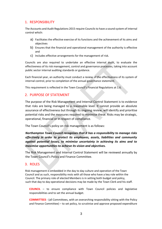# <span id="page-2-0"></span>1. RESPONSIBILITY

The Accounts and Audit Regulations 2015 require Councils to have a sound system of internal control which:

- a) Facilitates the effective exercise of its functions and the achievement of its aims and objectives
- b) Ensures that the financial and operational management of the authority is effective and
- c) Includes effective arrangements for the management of risk.

Councils are also required to undertake an effective internal audit, to evaluate the effectiveness of its risk management, control and governance processes, taking into account public sector internal auditing standards or guidance.

Each financial year, an authority must conduct a review of the effectiveness of its system of internal control, prior to completion of the annual governance statement.

This requirement is reflected in the Town Council's Financial Regulations at 1.6.

## <span id="page-2-1"></span>2. PURPOSE OF STATEMENT

The purpose of the Risk Management and Internal Control Statement is to evidence that risks are being managed to a reasonable level. It cannot provide an absolute assurance of effectiveness but through its ongoing review, will identify and prioritise potential risks and the measures required to minimise these. Risks may be strategic, operational, financial or in respect of compliance.

The Town Council's policy on risk management is as follows:

*Northampton Town Council recognises that it has a responsibility to manage risks effectively in order to protect its employees, assets, liabilities and community against potential losses, to minimise uncertainty in achieving its aims and to maximise opportunities to achieve its vision and objectives.* 

The Risk Management and Internal Control Statement will be reviewed annually by the Town Council's Policy and Finance Committee.

## <span id="page-2-2"></span>3. ROLES

Risk management is embedded in the day to day culture and operation of the Town Council and as such, responsibility rests with all those who have a key role within the Council. The primary role of elected Members is in setting both budget and policy, such that day to day operational decisions may be made by the Town Clerk and his staff.

**COUNCIL** – to ensure compliance with Town Council policies and legislative responsibilities and to set the annual budget.

**COMMITTEES** - (all Committees, with an overarching responsibility sitting with the Policy and Finance Committee) – to set policy, to scrutinise and approve proposed expenditure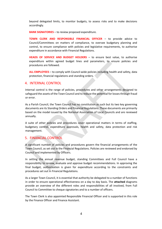beyond delegated limits, to monitor budgets, to assess risks and to make decisions accordingly.

**BANK SIGNATORIES** – to review proposed expenditure.

**TOWN CLERK AND RESPONSIBLE FINANCIAL OFFICER** – to provide advice to Council/Committees on matters of compliance, to oversee budgetary planning and control, to ensure compliance with policies and legislative requirements, to authorise expenditure in accordance with Financial Regulations.

**HEADS OF SERVICE AND BUDGET HOLDERS** – to ensure best value, to authorise expenditure within agreed budget lines and parameters, to ensure policies and procedures are followed.

**ALL EMPLOYEES** – to comply with Council-wide policies including health and safety, data protection, financial regulations and standing orders.

#### <span id="page-3-0"></span>4. INTERNAL CONTROL

Internal control is the range of policies, procedures and other arrangements designed to safeguard the assets of the Town Council and to reduce the potential for losses through fraud or error.

As a Parish Council, the Town Council has no constitution as such but its two key governing documents are its Standing Orders and Financial Regulations. These documents are primarily based on the model issued by the National Association of Local Councils and are reviewed annually.

A suite of other policies and procedures cover operational matters in terms of staffing, budgetary control, expenditure approvals, health and safety, data protection and risk management.

## <span id="page-3-1"></span>5. FINANCIAL CONTROL

A significant number of policies and procedures govern the financial arrangements of the Town Council, as set out in the Financial Regulations. Policies are reviewed and endorsed by Council and implemented by Officers.

In setting the annual revenue budget, standing Committees and Full Council have a responsibility to review, evaluate and approve budget recommendations. In approving the final budget, authorisation is given for expenditure according to the constraints and procedures set out in Financial Regulations.

As a larger Town Council, it is essential that authority be delegated to a number of functions in order to ensure operational effectiveness on a day to day basis. The **attached** diagrams provide an overview of the different roles and responsibilities of all involved, from Full Council to Committee to cheque signatories and to a number of officers.

The Town Clerk is also appointed Responsible Financial Officer and is supported in this role by the Finance Officer and Finance Assistant.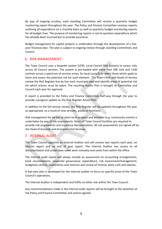By way of ongoing scrutiny, each standing Committee will receive a quarterly budget monitoring report throughout the year. The Policy and Finance Committee receives reports outlining all expenditure on a monthly basis as well as quarterly budget monitoring reports for all budget lines. The purpose of monitoring reports is not to question expenditure which has already been incurred but to provide assurance.

Budget management for capital projects is undertaken through the development of a fiveyear financial plan. The plan is subject to ongoing review through standing Committees and Council.

## <span id="page-4-0"></span>6. RISK MANAGEMENT

The Town Council uses a bespoke system (LCRS: Local Council Risk System) to assess risks across all Council services. The system is pre-loaded with more than 390 risks and 1100 controls across a spectrum of services areas, for local councils to select those which apply to them and assess the potential risk for each element. The Town Clerk and Heads of Service review the Risk Register line by line each municipal year and identify areas of potential risk for which actions must be taken. The resulting Action Plan is brought to Committee and Council each year for approval.

A report is provided to the Policy and Finance Committee half-way through the year to provide a progress update on the Risk Register Action Plan.

In addition to the full annual review, the Risk Register will be updated throughout the year as appropriate, as a result of new services, assets or functions.

Risk management for ad-hoc or short term projects and activities (e.g. community events) is undertaken by way of risk assessments. Hirers of Town Council facilities are required to provide risk assessments and insurance documentation. All risk assessments are signed off by the Head of Grounds and Environmental Services.

## <span id="page-4-1"></span>7. INTERNAL AUDIT

The Town Council appoints an Internal Auditor and will receive two reports each year, an interim report and an end of year report. The Internal Auditor has access to all documentation and undertakes some work remotely and some from within the office.

The internal audit report will always include an assessment on accounting arrangements, bank reconciliations, corporate governance, expenditure, risk assessment/management, budgetary control, investments and reserves and review of income, petty cash and salaries.

A five-year plan is developed for the internal auditor to focus on specific areas of the Town Council's operations.

The Internal Auditor is independent and fulfils no other role within the Town Council.

Any recommendations made in the internal audit reports will be brought to the attention of the Policy and Finance Committee and actions agreed.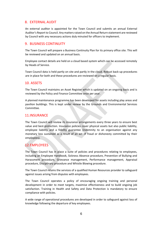## <span id="page-5-0"></span>8. EXTERNAL AUDIT

An external auditor is appointed for the Town Council and submits an annual External Auditor's Report to Council. Any matters raised on the Annual Return statement are reviewed by Council with any necessary actions duly minuted for officers to implement.

## <span id="page-5-1"></span>9. BUSINESS CONTINUITY

The Town Council will prepare a Business Continuity Plan for its primary office site. This will be reviewed and updated on an annual basis.

Employee contact details are held on a cloud based system which can be accessed remotely by Heads of Service.

Town Council data is held partly on site and partly in the cloud. Robust back-up procedures are in place for both and these procedures are reviewed on a regular basis.

## <span id="page-5-2"></span>10. ASSETS

The Town Council maintains an Asset Register which is updated on an ongoing basis and is reviewed by the Policy and Finance Committee once per year.

A planned maintenance programme has been developed for assets including play areas and pavilion buildings. This is kept under review by the Grounds and Environmental Services Committee.

## <span id="page-5-3"></span>11.INSURANCE

The Town Council will review its insurance arrangements every three years to ensure best value and best protection. Insurance policies cover physical assets but also public liability, employee liability and a fidelity guarantee (indemnity to an organisation against any monetary loss sustained as a result of an act of fraud or dishonesty committed by their employees).

## <span id="page-5-4"></span>12.EMPLOYEES

The Town Council has in place a suite of policies and procedures relating to employees, including an Employee Handbook, Sickness Absence procedure, Prevention of Bullying and Harassment procedure, Grievance management, Performance management, Appraisal procedure, Disciplinary procedure and Whistle Blowing procedure.

The Town Council retains the services of a qualified Human Resources provider to safeguard against issues arising from disputes with employees.

The Town Council operates a policy of encouraging ongoing training and personal development in order to meet targets, maximise effectiveness and to build ongoing job satisfaction. Training in Health and Safety and Data Protection is mandatory to ensure compliance with policies.

A wide range of operational procedures are developed in order to safeguard against loss of knowledge following the departure of key employees.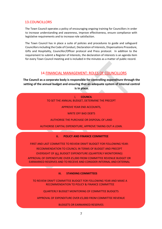## <span id="page-6-0"></span>13.COUNCILLORS

The Town Council operates a policy of encouraging ongoing training for Councillors in order to increase understanding and awareness, improve effectiveness, ensure compliance with legislative requirements and to increase role satisfaction.

The Town Council has in place a suite of policies and procedures to guide and safeguard Councillors including the Code of Conduct, Declaration of Interests, Dispensations Procedure, Gifts and Hospitality, Councillor/Officer protocol and Press protocol. In addition to the requirement to submit a Register of Interests, the declaration of interests is an agenda item for every Town Council meeting and is included in the minutes as a matter of public record.

# 14.FINANCIAL MANAGEMENT: ROLES OF COUNCILLORS

<span id="page-6-1"></span>**The Council as a corporate body is responsible for controlling expenditure through the setting of the annual budget and ensuring that an adequate system of internal control is in place.** 

> i. **COUNCIL** TO SET THE ANNUAL BUDGET, DETERMINE THE PRECEPT

> > APPROVE YEAR END ACCOUNTS,

WRITE OFF BAD DEBTS

AUTHORISE THE PURCHASE OR DISPOSAL OF LAND

AUTHORISE CAPITAL EXPENDITURE, APPROVE TAKING OUT A LOAN.

#### **ii. POLICY AND FINANCE COMMITTEE**

FIRST AND LAST COMMITTEE TO REVIEW DRAFT BUDGET FOR FOLLOWING YEAR:

RECOMMENDATION TO COUNCIL IN TERMS OF BUDGET AND PRECEPT

OVERSIGHT OF ALL BUDGET EXPENDITURE (QUARTERLY MONITORING)

APPROVAL OF EXPENDITURE OVER £5,000 FROM COMMITTEE REVENUE BUDGET OR EARMARKED RESERVES AND TO RECEIVE AND CONSIDER INTERNAL AND EXTERNAL

AUDITOR'S REPORTS

#### **iii. STANDING COMMITTEES**

TO REVIEW DRAFT COMMITTEE BUDGET FOR FOLLOWING YEAR AND MAKE A RECOMMENDATION TO POLICY & FINANCE COMMITTEE

QUARTERLY BUDGET MONITORING OF COMMITTEE BUDGETS

APPROVAL OF EXPENDITURE OVER £5,000 FROM COMMITTEE REVENUE

BUDGETS OR EARMARKED RESERVES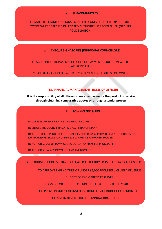#### **iv. SUB-COMMITTEES**

## TO MAKE RECOMMENDATIONS TO PARENT COMMITTEE FOR EXPENDITURE, EXCEPT WHERE SPECIFIC DELEGATED AUTHORITY HAS BEEN GIVEN (GRANTS, POLICE LIAISON)

#### **v. CHEQUE SIGNATORIES (INDIVIDUAL COUNCILLORS)**

TO SCRUTINISE PROPOSED SCHEDULES OF PAYMENTS, QUESTION WHERE APPROPRIATE,

CHECK RELEVANT PAPERWORK IS CORRECT & PROCEDURES FOLLOWED,

#### <span id="page-7-0"></span>**15. FINANCIAL MANAGEMENT: ROLES OF OFFICERS**

**It is the responsibility of all officers to seek best value for the product or service, through obtaining comparative quotes or through a tender process**

#### i. **TOWN CLERK & RFO**

TO OVERSEE DEVELOPMENT OF THE ANNUAL BUDGET

TO ENSURE THE COUNCIL HAS A FIVE YEAR FINANCIAL PLAN

TO AUTHORISE EXPENDITURE OF UNDER £5,000 FROM APPROVED REVENUE BUDGETS OR EARMARKED RESERVES (OR UNDER £2,500 OUTSIDE APPROVED BUDGETS)

TO AUTHORISE USE OF TOWN COUNCIL CREDIT CARD AS PER PROCEDURE

TO AUTHORISE SALARY PAYMENTS AND AMENDMENTS

ii. BUDGET HOLDERS – HAVE DELEGATED AUTHORITY FROM THE TOWN CLERK & RFO

TO APPROVE EXPENDITURE OF UNDER £5,000 FROM SERVICE AREA REVENUE

BUDGET OR EARMARKED RESERVES

TO MONITOR BUDGET EXPENDITURE THROUGHOUT THE YEAR

TO APPROVE PAYMENT OF INVOICES FROM SERVICE BUDGET EACH MONTH

TO ASSIST IN DEVELOPING THE ANNUAL DRAFT BUDGET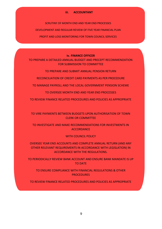#### **iii. ACCOUNTANT**

SCRUTINY OF MONTH END AND YEAR END PROCESSES DEVELOPMENT AND REGULAR REVIEW OF FIVE YEAR FINANCIAL PLAN PROFIT AND LOSS MONITORING FOR TOWN COUNCIL SERVICES

#### **iv. FINANCE OFFICER**

<span id="page-8-0"></span>TO PREPARE A DETAILED ANNUAL BUDGET AND PRECEPT RECOMMENDATION FOR SUBMISSION TO COMMITTEE

TO PREPARE AND SUBMIT ANNUAL PENSION RETURN

RECONCILIATION OF CREDIT CARD PAYMENTS AS PER PROCEDURE

TO MANAGE PAYROLL AND THE LOCAL GOVERNMENT PENSION SCHEME

TO OVERSEE MONTH END AND YEAR END PROCESSES

TO REVIEW FINANCE RELATED PROCEDURES AND POLICIES AS APPROPRIATE

TO VIRE PAYMENTS BETWEEN BUDGETS UPON AUTHORISATION OF TOWN CLERK OR COMMITTEE

TO INVESTIGATE AND MAKE RECOMMENDATIONS FOR INVESTMENTS IN **ACCORDANCE** 

#### WITH COUNCIL POLICY

OVERSEE YEAR END ACCOUNTS AND COMPLETE ANNUAL RETURN (AND ANY OTHER RELEVANT REQUIREMENTS IN ACCORDANCE WITH LEGISLATION) IN ACCORDANCE WITH THE REGULATIONS.

TO PERIODICALLY REVIEW BANK ACCOUNT AND ENSURE BANK MANDATE IS UP TO DATE

TO ENSURE COMPLIANCE WITH FINANCIAL REGULATIONS & OTHER **PROCEDURES** 

TO REVIEW FINANCE RELATED PROCEDURES AND POLICIES AS APPROPRIATE